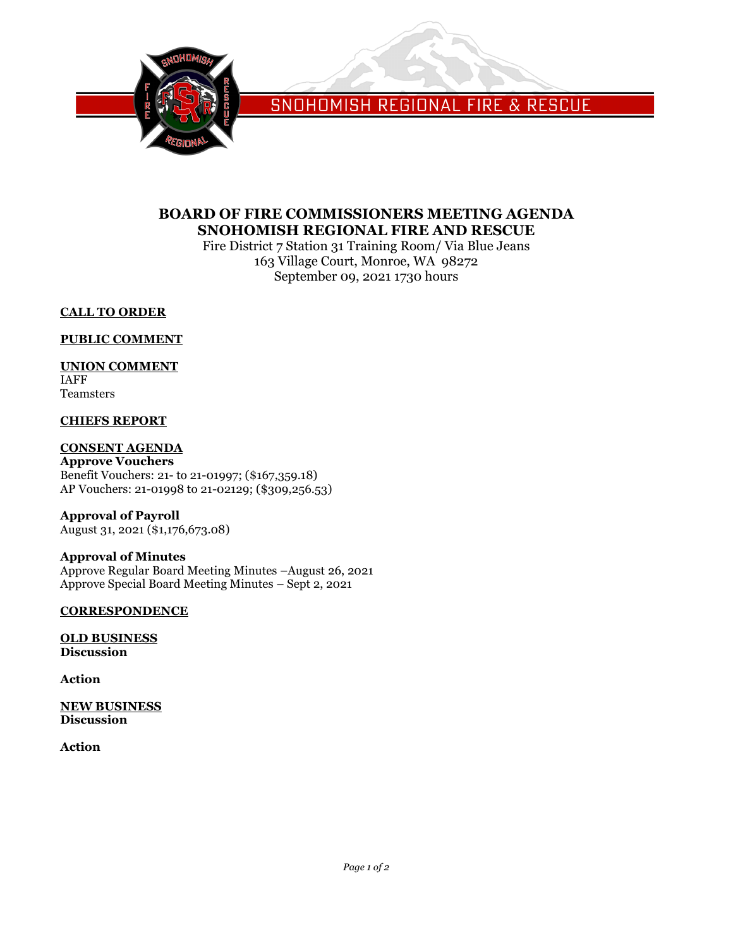

SNOHOMISH REGIONAL FIRE & RESCUE

# **BOARD OF FIRE COMMISSIONERS MEETING AGENDA SNOHOMISH REGIONAL FIRE AND RESCUE**

Fire District 7 Station 31 Training Room/ Via Blue Jeans 163 Village Court, Monroe, WA 98272 September 09, 2021 1730 hours

## **CALL TO ORDER**

## **PUBLIC COMMENT**

## **UNION COMMENT**

IAFF Teamsters

## **CHIEFS REPORT**

## **CONSENT AGENDA**

**Approve Vouchers** Benefit Vouchers: 21- to 21-01997; (\$167,359.18) AP Vouchers: 21-01998 to 21-02129; (\$309,256.53)

**Approval of Payroll** August 31, 2021 (\$1,176,673.08)

## **Approval of Minutes**

Approve Regular Board Meeting Minutes –August 26, 2021 Approve Special Board Meeting Minutes – Sept 2, 2021

## **CORRESPONDENCE**

**OLD BUSINESS Discussion**

**Action**

**NEW BUSINESS Discussion**

**Action**